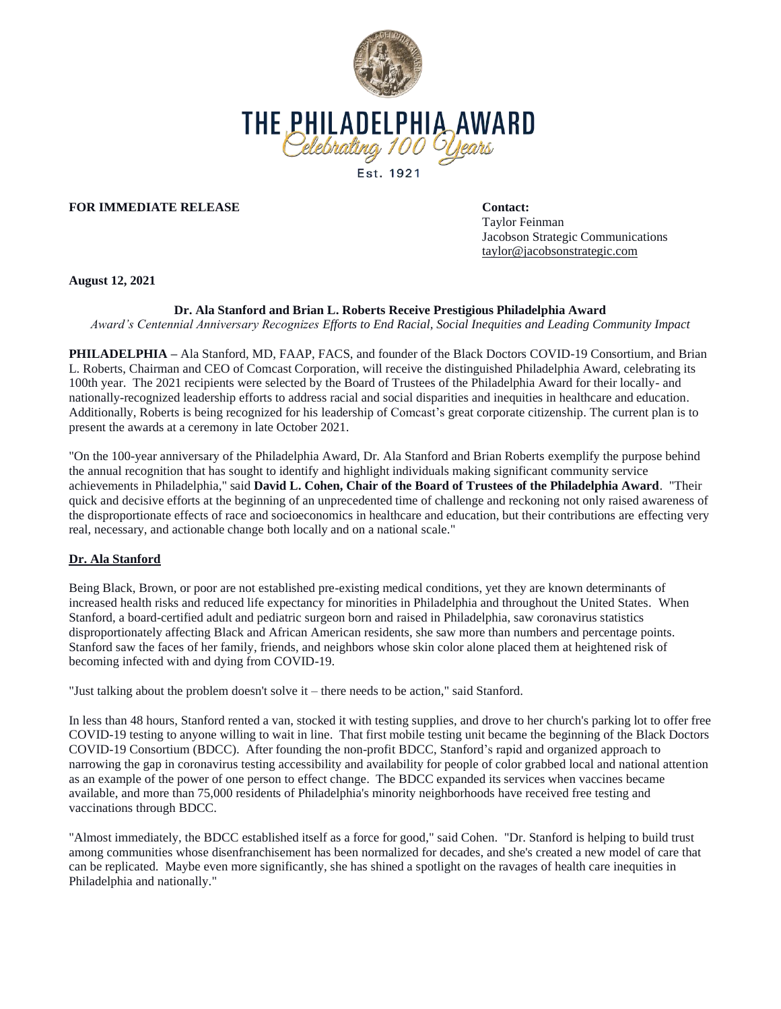

## **FOR IMMEDIATE RELEASE Contact:**

Taylor Feinman Jacobson Strategic Communications taylor@jacobsonstrategic.com

**August 12, 2021**

## **Dr. Ala Stanford and Brian L. Roberts Receive Prestigious Philadelphia Award**

*Award's Centennial Anniversary Recognizes Efforts to End Racial, Social Inequities and Leading Community Impact* 

**PHILADELPHIA –** Ala Stanford, MD, FAAP, FACS, and founder of the Black Doctors COVID-19 Consortium, and Brian L. Roberts, Chairman and CEO of Comcast Corporation, will receive the distinguished Philadelphia Award, celebrating its 100th year. The 2021 recipients were selected by the Board of Trustees of the Philadelphia Award for their locally- and nationally-recognized leadership efforts to address racial and social disparities and inequities in healthcare and education. Additionally, Roberts is being recognized for his leadership of Comcast's great corporate citizenship. The current plan is to present the awards at a ceremony in late October 2021.

"On the 100-year anniversary of the Philadelphia Award, Dr. Ala Stanford and Brian Roberts exemplify the purpose behind the annual recognition that has sought to identify and highlight individuals making significant community service achievements in Philadelphia," said **David L. Cohen, Chair of the Board of Trustees of the Philadelphia Award**. "Their quick and decisive efforts at the beginning of an unprecedented time of challenge and reckoning not only raised awareness of the disproportionate effects of race and socioeconomics in healthcare and education, but their contributions are effecting very real, necessary, and actionable change both locally and on a national scale."

## **Dr. Ala Stanford**

Being Black, Brown, or poor are not established pre-existing medical conditions, yet they are known determinants of increased health risks and reduced life expectancy for minorities in Philadelphia and throughout the United States. When Stanford, a board-certified adult and pediatric surgeon born and raised in Philadelphia, saw coronavirus statistics disproportionately affecting Black and African American residents, she saw more than numbers and percentage points. Stanford saw the faces of her family, friends, and neighbors whose skin color alone placed them at heightened risk of becoming infected with and dying from COVID-19.

"Just talking about the problem doesn't solve it – there needs to be action," said Stanford.

In less than 48 hours, Stanford rented a van, stocked it with testing supplies, and drove to her church's parking lot to offer free COVID-19 testing to anyone willing to wait in line. That first mobile testing unit became the beginning of the Black Doctors COVID-19 Consortium (BDCC). After founding the non-profit BDCC, Stanford's rapid and organized approach to narrowing the gap in coronavirus testing accessibility and availability for people of color grabbed local and national attention as an example of the power of one person to effect change. The BDCC expanded its services when vaccines became available, and more than 75,000 residents of Philadelphia's minority neighborhoods have received free testing and vaccinations through BDCC.

"Almost immediately, the BDCC established itself as a force for good," said Cohen. "Dr. Stanford is helping to build trust among communities whose disenfranchisement has been normalized for decades, and she's created a new model of care that can be replicated. Maybe even more significantly, she has shined a spotlight on the ravages of health care inequities in Philadelphia and nationally."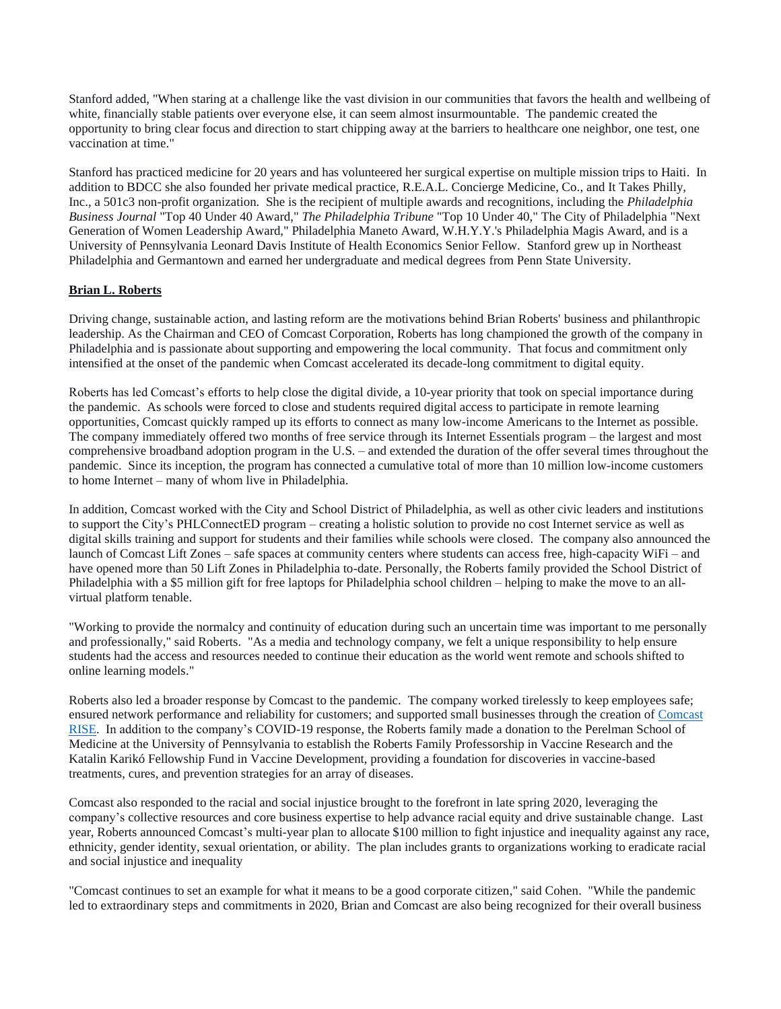Stanford added, "When staring at a challenge like the vast division in our communities that favors the health and wellbeing of white, financially stable patients over everyone else, it can seem almost insurmountable. The pandemic created the opportunity to bring clear focus and direction to start chipping away at the barriers to healthcare one neighbor, one test, one vaccination at time."

Stanford has practiced medicine for 20 years and has volunteered her surgical expertise on multiple mission trips to Haiti. In addition to BDCC she also founded her private medical practice, R.E.A.L. Concierge Medicine, Co., and It Takes Philly, Inc., a 501c3 non-profit organization. She is the recipient of multiple awards and recognitions, including the *Philadelphia Business Journal* "Top 40 Under 40 Award," *The Philadelphia Tribune* "Top 10 Under 40," The City of Philadelphia "Next Generation of Women Leadership Award," Philadelphia Maneto Award, W.H.Y.Y.'s Philadelphia Magis Award, and is a University of Pennsylvania Leonard Davis Institute of Health Economics Senior Fellow. Stanford grew up in Northeast Philadelphia and Germantown and earned her undergraduate and medical degrees from Penn State University.

# **Brian L. Roberts**

Driving change, sustainable action, and lasting reform are the motivations behind Brian Roberts' business and philanthropic leadership. As the Chairman and CEO of Comcast Corporation, Roberts has long championed the growth of the company in Philadelphia and is passionate about supporting and empowering the local community. That focus and commitment only intensified at the onset of the pandemic when Comcast accelerated its decade-long commitment to digital equity.

Roberts has led Comcast's efforts to help close the digital divide, a 10-year priority that took on special importance during the pandemic. As schools were forced to close and students required digital access to participate in remote learning opportunities, Comcast quickly ramped up its efforts to connect as many low-income Americans to the Internet as possible. The company immediately offered two months of free service through its Internet Essentials program – the largest and most comprehensive broadband adoption program in the U.S. – and extended the duration of the offer several times throughout the pandemic. Since its inception, the program has connected a cumulative total of more than 10 million low-income customers to home Internet – many of whom live in Philadelphia.

In addition, Comcast worked with the City and School District of Philadelphia, as well as other civic leaders and institutions to support the City's PHLConnectED program – creating a holistic solution to provide no cost Internet service as well as digital skills training and support for students and their families while schools were closed. The company also announced the launch of Comcast Lift Zones – safe spaces at community centers where students can access free, high-capacity WiFi – and have opened more than 50 Lift Zones in Philadelphia to-date. Personally, the Roberts family provided the School District of Philadelphia with a \$5 million gift for free laptops for Philadelphia school children – helping to make the move to an allvirtual platform tenable.

"Working to provide the normalcy and continuity of education during such an uncertain time was important to me personally and professionally," said Roberts. "As a media and technology company, we felt a unique responsibility to help ensure students had the access and resources needed to continue their education as the world went remote and schools shifted to online learning models."

Roberts also led a broader response by Comcast to the pandemic. The company worked tirelessly to keep employees safe; ensured network performance and reliability for customers; and supported small businesses through the creation of [Comcast](https://www.comcastrise.com/)  [RISE.](https://www.comcastrise.com/) In addition to the company's COVID-19 response, the Roberts family made a donation to the Perelman School of Medicine at the University of Pennsylvania to establish the Roberts Family Professorship in Vaccine Research and the Katalin Karikó Fellowship Fund in Vaccine Development, providing a foundation for discoveries in vaccine-based treatments, cures, and prevention strategies for an array of diseases.

Comcast also responded to the racial and social injustice brought to the forefront in late spring 2020, leveraging the company's collective resources and core business expertise to help advance racial equity and drive sustainable change. Last year, Roberts announced Comcast's multi-year plan to allocate \$100 million to fight injustice and inequality against any race, ethnicity, gender identity, sexual orientation, or ability. The plan includes grants to organizations working to eradicate racial and social injustice and inequality

"Comcast continues to set an example for what it means to be a good corporate citizen," said Cohen. "While the pandemic led to extraordinary steps and commitments in 2020, Brian and Comcast are also being recognized for their overall business